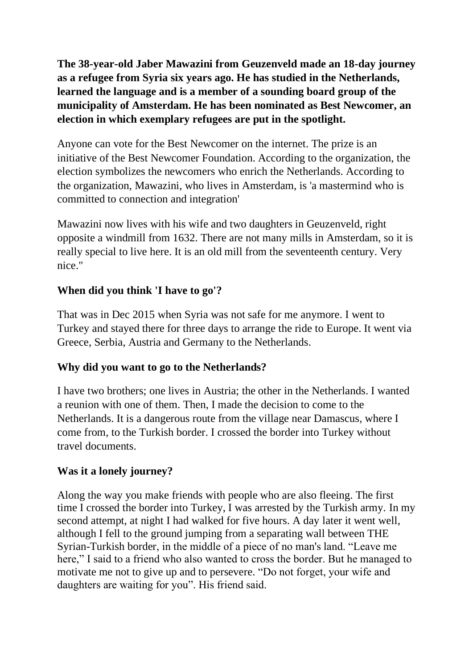**The 38-year-old Jaber Mawazini from Geuzenveld made an 18-day journey as a refugee from Syria six years ago. He has studied in the Netherlands, learned the language and is a member of a sounding board group of the municipality of Amsterdam. He has been nominated as Best Newcomer, an election in which exemplary refugees are put in the spotlight.**

Anyone can vote for the Best Newcomer on the internet. The prize is an initiative of the Best Newcomer Foundation. According to the organization, the election symbolizes the newcomers who enrich the Netherlands. According to the organization, Mawazini, who lives in Amsterdam, is 'a mastermind who is committed to connection and integration'

Mawazini now lives with his wife and two daughters in Geuzenveld, right opposite a windmill from 1632. There are not many mills in Amsterdam, so it is really special to live here. It is an old mill from the seventeenth century. Very nice."

## **When did you think 'I have to go'?**

That was in Dec 2015 when Syria was not safe for me anymore. I went to Turkey and stayed there for three days to arrange the ride to Europe. It went via Greece, Serbia, Austria and Germany to the Netherlands.

### **Why did you want to go to the Netherlands?**

I have two brothers; one lives in Austria; the other in the Netherlands. I wanted a reunion with one of them. Then, I made the decision to come to the Netherlands. It is a dangerous route from the village near Damascus, where I come from, to the Turkish border. I crossed the border into Turkey without travel documents.

# **Was it a lonely journey?**

Along the way you make friends with people who are also fleeing. The first time I crossed the border into Turkey, I was arrested by the Turkish army. In my second attempt, at night I had walked for five hours. A day later it went well, although I fell to the ground jumping from a separating wall between THE Syrian-Turkish border, in the middle of a piece of no man's land. "Leave me here," I said to a friend who also wanted to cross the border. But he managed to motivate me not to give up and to persevere. "Do not forget, your wife and daughters are waiting for you". His friend said.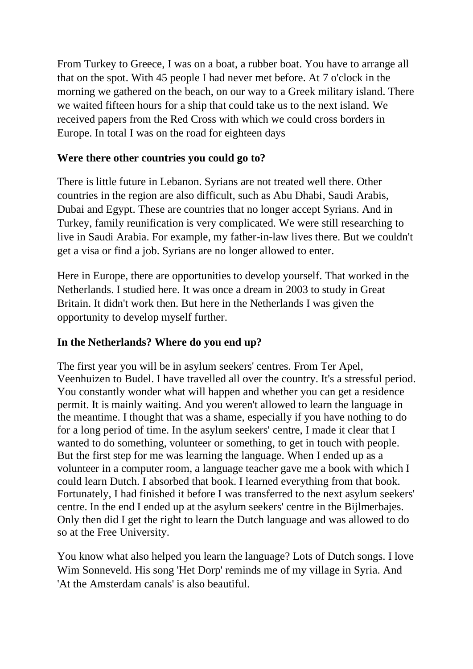From Turkey to Greece, I was on a boat, a rubber boat. You have to arrange all that on the spot. With 45 people I had never met before. At 7 o'clock in the morning we gathered on the beach, on our way to a Greek military island. There we waited fifteen hours for a ship that could take us to the next island. We received papers from the Red Cross with which we could cross borders in Europe. In total I was on the road for eighteen days

### **Were there other countries you could go to?**

There is little future in Lebanon. Syrians are not treated well there. Other countries in the region are also difficult, such as Abu Dhabi, Saudi Arabis, Dubai and Egypt. These are countries that no longer accept Syrians. And in Turkey, family reunification is very complicated. We were still researching to live in Saudi Arabia. For example, my father-in-law lives there. But we couldn't get a visa or find a job. Syrians are no longer allowed to enter.

Here in Europe, there are opportunities to develop yourself. That worked in the Netherlands. I studied here. It was once a dream in 2003 to study in Great Britain. It didn't work then. But here in the Netherlands I was given the opportunity to develop myself further.

### **In the Netherlands? Where do you end up?**

The first year you will be in asylum seekers' centres. From Ter Apel, Veenhuizen to Budel. I have travelled all over the country. It's a stressful period. You constantly wonder what will happen and whether you can get a residence permit. It is mainly waiting. And you weren't allowed to learn the language in the meantime. I thought that was a shame, especially if you have nothing to do for a long period of time. In the asylum seekers' centre, I made it clear that I wanted to do something, volunteer or something, to get in touch with people. But the first step for me was learning the language. When I ended up as a volunteer in a computer room, a language teacher gave me a book with which I could learn Dutch. I absorbed that book. I learned everything from that book. Fortunately, I had finished it before I was transferred to the next asylum seekers' centre. In the end I ended up at the asylum seekers' centre in the Bijlmerbajes. Only then did I get the right to learn the Dutch language and was allowed to do so at the Free University.

You know what also helped you learn the language? Lots of Dutch songs. I love Wim Sonneveld. His song 'Het Dorp' reminds me of my village in Syria. And 'At the Amsterdam canals' is also beautiful.